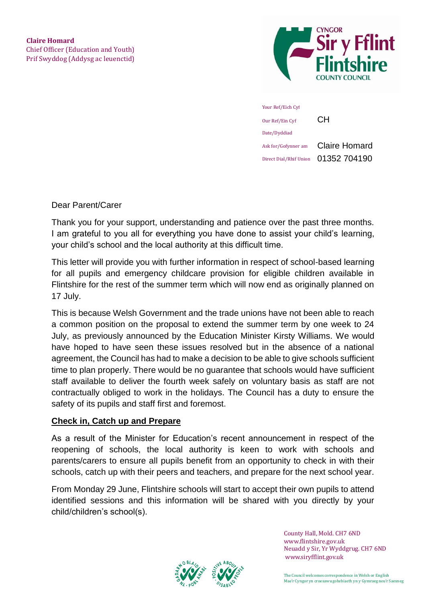



Dear Parent/Carer

Thank you for your support, understanding and patience over the past three months. I am grateful to you all for everything you have done to assist your child's learning, your child's school and the local authority at this difficult time.

This letter will provide you with further information in respect of school-based learning for all pupils and emergency childcare provision for eligible children available in Flintshire for the rest of the summer term which will now end as originally planned on 17 July.

This is because Welsh Government and the trade unions have not been able to reach a common position on the proposal to extend the summer term by one week to 24 July, as previously announced by the Education Minister Kirsty Williams. We would have hoped to have seen these issues resolved but in the absence of a national agreement, the Council has had to make a decision to be able to give schools sufficient time to plan properly. There would be no guarantee that schools would have sufficient staff available to deliver the fourth week safely on voluntary basis as staff are not contractually obliged to work in the holidays. The Council has a duty to ensure the safety of its pupils and staff first and foremost.

#### **Check in, Catch up and Prepare**

As a result of the Minister for Education's recent announcement in respect of the reopening of schools, the local authority is keen to work with schools and parents/carers to ensure all pupils benefit from an opportunity to check in with their schools, catch up with their peers and teachers, and prepare for the next school year.

From Monday 29 June, Flintshire schools will start to accept their own pupils to attend identified sessions and this information will be shared with you directly by your child/children's school(s).



County Hall, Mold. CH7 6ND www.flintshire.gov.uk Neuadd y Sir, Yr Wyddgrug. CH7 6ND [www.siryfflint.gov.uk](http://www.siryfflint.gov.uk/)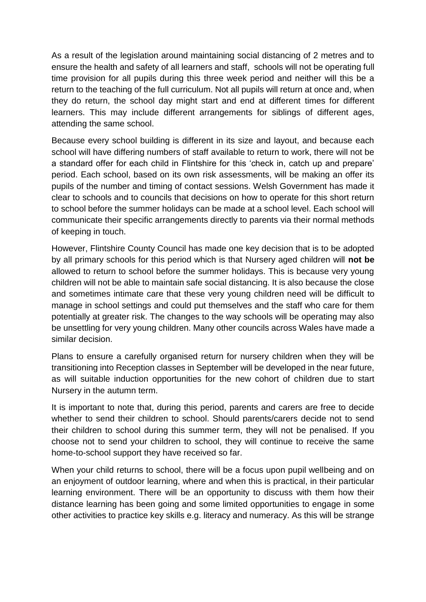As a result of the legislation around maintaining social distancing of 2 metres and to ensure the health and safety of all learners and staff, schools will not be operating full time provision for all pupils during this three week period and neither will this be a return to the teaching of the full curriculum. Not all pupils will return at once and, when they do return, the school day might start and end at different times for different learners. This may include different arrangements for siblings of different ages, attending the same school.

Because every school building is different in its size and layout, and because each school will have differing numbers of staff available to return to work, there will not be a standard offer for each child in Flintshire for this 'check in, catch up and prepare' period. Each school, based on its own risk assessments, will be making an offer its pupils of the number and timing of contact sessions. Welsh Government has made it clear to schools and to councils that decisions on how to operate for this short return to school before the summer holidays can be made at a school level. Each school will communicate their specific arrangements directly to parents via their normal methods of keeping in touch.

However, Flintshire County Council has made one key decision that is to be adopted by all primary schools for this period which is that Nursery aged children will **not be** allowed to return to school before the summer holidays. This is because very young children will not be able to maintain safe social distancing. It is also because the close and sometimes intimate care that these very young children need will be difficult to manage in school settings and could put themselves and the staff who care for them potentially at greater risk. The changes to the way schools will be operating may also be unsettling for very young children. Many other councils across Wales have made a similar decision.

Plans to ensure a carefully organised return for nursery children when they will be transitioning into Reception classes in September will be developed in the near future, as will suitable induction opportunities for the new cohort of children due to start Nursery in the autumn term.

It is important to note that, during this period, parents and carers are free to decide whether to send their children to school. Should parents/carers decide not to send their children to school during this summer term, they will not be penalised. If you choose not to send your children to school, they will continue to receive the same home-to-school support they have received so far.

When your child returns to school, there will be a focus upon pupil wellbeing and on an enjoyment of outdoor learning, where and when this is practical, in their particular learning environment. There will be an opportunity to discuss with them how their distance learning has been going and some limited opportunities to engage in some other activities to practice key skills e.g. literacy and numeracy. As this will be strange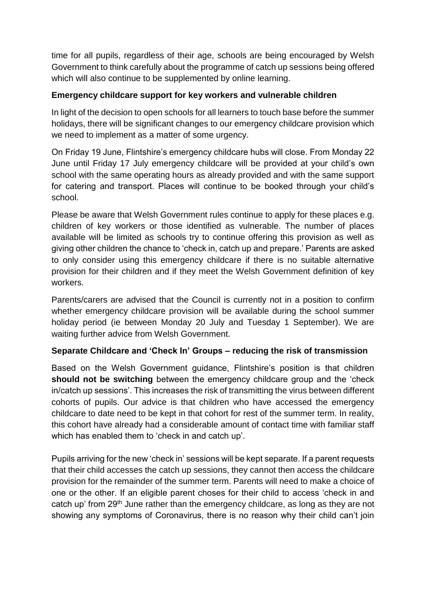time for all pupils, regardless of their age, schools are being encouraged by Welsh Government to think carefully about the programme of catch up sessions being offered which will also continue to be supplemented by online learning.

# **Emergency childcare support for key workers and vulnerable children**

In light of the decision to open schools for all learners to touch base before the summer holidays, there will be significant changes to our emergency childcare provision which we need to implement as a matter of some urgency.

On Friday 19 June, Flintshire's emergency childcare hubs will close. From Monday 22 June until Friday 17 July emergency childcare will be provided at your child's own school with the same operating hours as already provided and with the same support for catering and transport. Places will continue to be booked through your child's school.

Please be aware that Welsh Government rules continue to apply for these places e.g. children of key workers or those identified as vulnerable. The number of places available will be limited as schools try to continue offering this provision as well as giving other children the chance to 'check in, catch up and prepare.' Parents are asked to only consider using this emergency childcare if there is no suitable alternative provision for their children and if they meet the Welsh Government definition of key workers.

Parents/carers are advised that the Council is currently not in a position to confirm whether emergency childcare provision will be available during the school summer holiday period (ie between Monday 20 July and Tuesday 1 September). We are waiting further advice from Welsh Government.

## **Separate Childcare and 'Check In' Groups – reducing the risk of transmission**

Based on the Welsh Government guidance, Flintshire's position is that children **should not be switching** between the emergency childcare group and the 'check in/catch up sessions'. This increases the risk of transmitting the virus between different cohorts of pupils. Our advice is that children who have accessed the emergency childcare to date need to be kept in that cohort for rest of the summer term. In reality, this cohort have already had a considerable amount of contact time with familiar staff which has enabled them to 'check in and catch up'.

Pupils arriving for the new 'check in' sessions will be kept separate. If a parent requests that their child accesses the catch up sessions, they cannot then access the childcare provision for the remainder of the summer term. Parents will need to make a choice of one or the other. If an eligible parent choses for their child to access 'check in and catch up' from 29th June rather than the emergency childcare, as long as they are not showing any symptoms of Coronavirus, there is no reason why their child can't join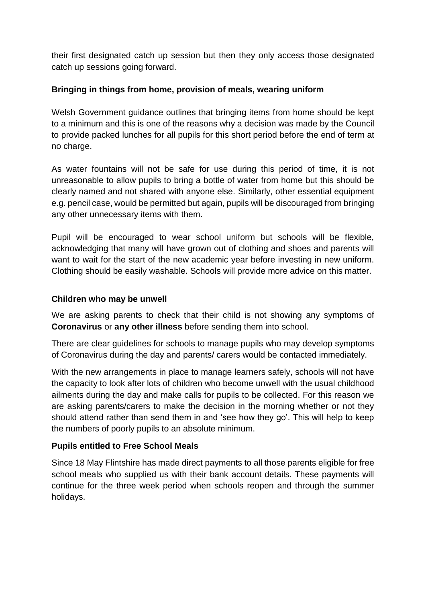their first designated catch up session but then they only access those designated catch up sessions going forward.

# **Bringing in things from home, provision of meals, wearing uniform**

Welsh Government guidance outlines that bringing items from home should be kept to a minimum and this is one of the reasons why a decision was made by the Council to provide packed lunches for all pupils for this short period before the end of term at no charge.

As water fountains will not be safe for use during this period of time, it is not unreasonable to allow pupils to bring a bottle of water from home but this should be clearly named and not shared with anyone else. Similarly, other essential equipment e.g. pencil case, would be permitted but again, pupils will be discouraged from bringing any other unnecessary items with them.

Pupil will be encouraged to wear school uniform but schools will be flexible, acknowledging that many will have grown out of clothing and shoes and parents will want to wait for the start of the new academic year before investing in new uniform. Clothing should be easily washable. Schools will provide more advice on this matter.

#### **Children who may be unwell**

We are asking parents to check that their child is not showing any symptoms of **Coronavirus** or **any other illness** before sending them into school.

There are clear guidelines for schools to manage pupils who may develop symptoms of Coronavirus during the day and parents/ carers would be contacted immediately.

With the new arrangements in place to manage learners safely, schools will not have the capacity to look after lots of children who become unwell with the usual childhood ailments during the day and make calls for pupils to be collected. For this reason we are asking parents/carers to make the decision in the morning whether or not they should attend rather than send them in and 'see how they go'. This will help to keep the numbers of poorly pupils to an absolute minimum.

## **Pupils entitled to Free School Meals**

Since 18 May Flintshire has made direct payments to all those parents eligible for free school meals who supplied us with their bank account details. These payments will continue for the three week period when schools reopen and through the summer holidays.